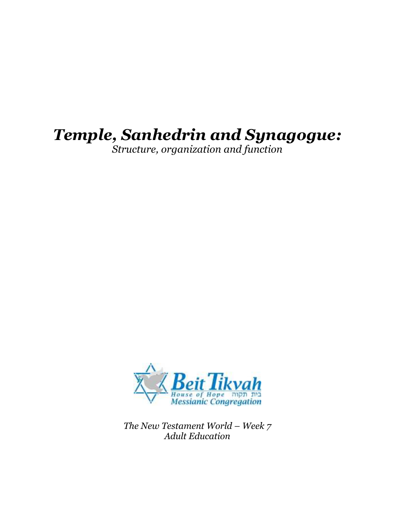# Temple, Sanhedrin and Synagogue:

Structure, organization and function



The New Testament World – Week 7 Adult Education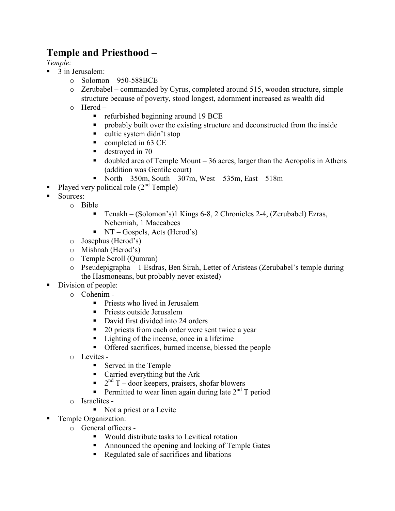# Temple and Priesthood –

Temple:

- $\blacksquare$  3 in Jerusalem:
	- $\degree$  Solomon 950-588BCE
	- o Zerubabel commanded by Cyrus, completed around 515, wooden structure, simple structure because of poverty, stood longest, adornment increased as wealth did
	- o Herod
		- refurbished beginning around  $19 \text{ BCE}$
		- **•** probably built over the existing structure and deconstructed from the inside
		- cultic system didn't stop
		- completed in 63 CE
		- destroyed in 70
		- doubled area of Temple Mount 36 acres, larger than the Acropolis in Athens (addition was Gentile court)
		- North 350m, South 307m, West 535m, East 518m
- Played very political role  $(2<sup>nd</sup>$  Temple)
- Sources:
	- o Bible
		- Tenakh (Solomon's)1 Kings 6-8, 2 Chronicles 2-4, (Zerubabel) Ezras, Nehemiah, 1 Maccabees
		- $\blacksquare$  NT Gospels, Acts (Herod's)
	- o Josephus (Herod's)
	- o Mishnah (Herod's)
	- o Temple Scroll (Qumran)
	- o Pseudepigrapha 1 Esdras, Ben Sirah, Letter of Aristeas (Zerubabel's temple during the Hasmoneans, but probably never existed)
- Division of people:
	- o Cohenim
		- **Priests who lived in Jerusalem**
		- **Priests outside Jerusalem**
		- David first divided into 24 orders
		- 20 priests from each order were sent twice a year
		- Lighting of the incense, once in a lifetime
		- Offered sacrifices, burned incense, blessed the people
	- o Levites
		- Served in the Temple
		- Carried everything but the Ark
		- $\blacksquare$   $2<sup>nd</sup> T door keeps, praisers, shofar blowers$
		- Permitted to wear linen again during late  $2<sup>nd</sup> T$  period
	- o Israelites
		- Not a priest or a Levite
- **Temple Organization:** 
	- o General officers
		- Would distribute tasks to Levitical rotation
		- Announced the opening and locking of Temple Gates
		- Regulated sale of sacrifices and libations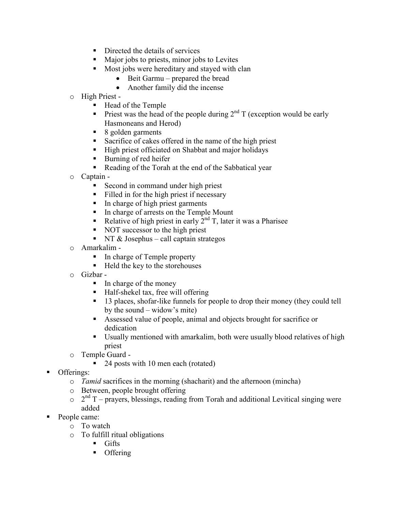- Directed the details of services
- Major jobs to priests, minor jobs to Levites
- Most jobs were hereditary and stayed with clan
	- Beit Garmu prepared the bread
	- Another family did the incense
- o High Priest
	- Head of the Temple
	- Priest was the head of the people during  $2<sup>nd</sup> T$  (exception would be early Hasmoneans and Herod)
	- 8 golden garments
	- Sacrifice of cakes offered in the name of the high priest
	- High priest officiated on Shabbat and major holidays
	- Burning of red heifer
	- Reading of the Torah at the end of the Sabbatical year
- o Captain
	- Second in command under high priest
	- Filled in for the high priest if necessary
	- In charge of high priest garments
	- In charge of arrests on the Temple Mount
	- Relative of high priest in early  $2<sup>nd</sup>$  T, later it was a Pharisee
	- NOT successor to the high priest
	- $\blacksquare$  NT & Josephus call captain strategos
- o Amarkalim
	- In charge of Temple property
	- Held the key to the storehouses
- o Gizbar
	- $\blacksquare$  In charge of the money
	- Half-shekel tax, free will offering
	- <sup>1</sup> 13 places, shofar-like funnels for people to drop their money (they could tell by the sound – widow's mite)
	- Assessed value of people, animal and objects brought for sacrifice or dedication
	- Usually mentioned with amarkalim, both were usually blood relatives of high priest
- o Temple Guard
	- 24 posts with 10 men each (rotated)
- Offerings:
	- o Tamid sacrifices in the morning (shacharit) and the afternoon (mincha)
	- o Between, people brought offering
	- $\circ$  2<sup>nd</sup> T prayers, blessings, reading from Torah and additional Levitical singing were added
- People came:
	- o To watch
	- o To fulfill ritual obligations
		- **Gifts** 
			- **Offering**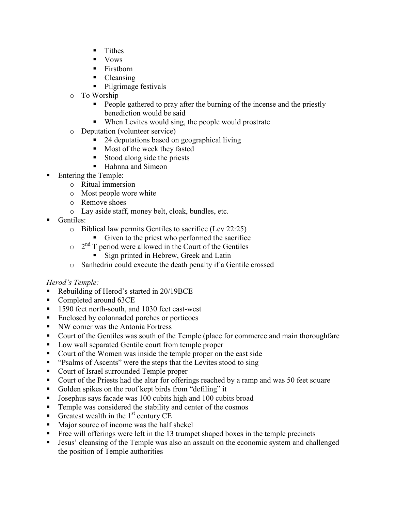- $\blacksquare$  Tithes
- **v** Vows
- Firstborn
- Cleansing
- Pilgrimage festivals
- o To Worship
	- People gathered to pray after the burning of the incense and the priestly benediction would be said
	- When Levites would sing, the people would prostrate
- o Deputation (volunteer service)
	- 24 deputations based on geographical living
	- **Most of the week they fasted**
	- Stood along side the priests
	- Hahnna and Simeon
- Entering the Temple:
	- o Ritual immersion
	- o Most people wore white
	- o Remove shoes
	- o Lay aside staff, money belt, cloak, bundles, etc.
- Gentiles:
	- o Biblical law permits Gentiles to sacrifice (Lev 22:25)
		- Given to the priest who performed the sacrifice
	- $\circ$  2<sup>nd</sup> T period were allowed in the Court of the Gentiles
		- Sign printed in Hebrew, Greek and Latin
	- o Sanhedrin could execute the death penalty if a Gentile crossed

#### Herod's Temple:

- Rebuilding of Herod's started in 20/19BCE
- Completed around 63CE
- 1590 feet north-south, and 1030 feet east-west
- Enclosed by colonnaded porches or porticoes
- NW corner was the Antonia Fortress
- Court of the Gentiles was south of the Temple (place for commerce and main thoroughfare
- **Low wall separated Gentile court from temple proper**
- Court of the Women was inside the temple proper on the east side
- "Psalms of Ascents" were the steps that the Levites stood to sing
- Court of Israel surrounded Temple proper
- Court of the Priests had the altar for offerings reached by a ramp and was 50 feet square
- Golden spikes on the roof kept birds from "defiling" it
- Josephus says façade was 100 cubits high and 100 cubits broad
- **Temple was considered the stability and center of the cosmos**
- Greatest wealth in the  $1<sup>st</sup>$  century CE
- Major source of income was the half shekel
- Free will offerings were left in the 13 trumpet shaped boxes in the temple precincts
- Jesus' cleansing of the Temple was also an assault on the economic system and challenged the position of Temple authorities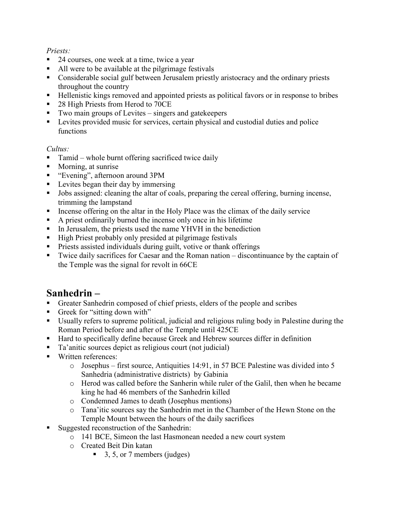#### Priests:

- 24 courses, one week at a time, twice a year
- All were to be available at the pilgrimage festivals
- Considerable social gulf between Jerusalem priestly aristocracy and the ordinary priests throughout the country
- Hellenistic kings removed and appointed priests as political favors or in response to bribes
- 28 High Priests from Herod to 70CE
- Two main groups of Levites singers and gatekeepers
- **Levites provided music for services, certain physical and custodial duties and police** functions

#### Cultus:

- Tamid whole burnt offering sacrificed twice daily
- Morning, at sunrise
- "Evening", afternoon around 3PM
- **Levites began their day by immersing**
- I Jobs assigned: cleaning the altar of coals, preparing the cereal offering, burning incense, trimming the lampstand
- Incense offering on the altar in the Holy Place was the climax of the daily service
- A priest ordinarily burned the incense only once in his lifetime
- In Jerusalem, the priests used the name YHVH in the benediction
- High Priest probably only presided at pilgrimage festivals
- **Priests assisted individuals during guilt, votive or thank offerings**
- Twice daily sacrifices for Caesar and the Roman nation discontinuance by the captain of the Temple was the signal for revolt in 66CE

# Sanhedrin –

- Greater Sanhedrin composed of chief priests, elders of the people and scribes
- Greek for "sitting down with"
- Usually refers to supreme political, judicial and religious ruling body in Palestine during the Roman Period before and after of the Temple until 425CE
- Hard to specifically define because Greek and Hebrew sources differ in definition
- Ta'anitic sources depict as religious court (not judicial)
- **Written references** 
	- o Josephus first source, Antiquities 14:91, in 57 BCE Palestine was divided into 5 Sanhedria (administrative districts) by Gabinia
	- o Herod was called before the Sanherin while ruler of the Galil, then when he became king he had 46 members of the Sanhedrin killed
	- o Condemned James to death (Josephus mentions)
	- o Tana'itic sources say the Sanhedrin met in the Chamber of the Hewn Stone on the Temple Mount between the hours of the daily sacrifices
- Suggested reconstruction of the Sanhedrin:
	- o 141 BCE, Simeon the last Hasmonean needed a new court system
	- o Created Beit Din katan
		- $\blacksquare$  3, 5, or 7 members (judges)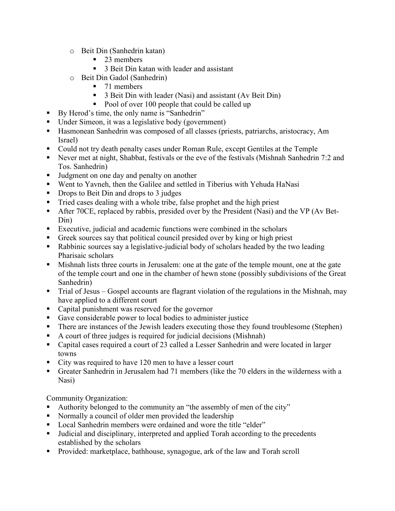- o Beit Din (Sanhedrin katan)
	- 23 members
	- 3 Beit Din katan with leader and assistant
- o Beit Din Gadol (Sanhedrin)
	- 71 members
	- 3 Beit Din with leader (Nasi) and assistant (Av Beit Din)
	- Pool of over 100 people that could be called up
- By Herod's time, the only name is "Sanhedrin"
- Under Simeon, it was a legislative body (government)
- Hasmonean Sanhedrin was composed of all classes (priests, patriarchs, aristocracy, Am Israel)
- Could not try death penalty cases under Roman Rule, except Gentiles at the Temple
- Never met at night, Shabbat, festivals or the eve of the festivals (Mishnah Sanhedrin 7:2 and Tos. Sanhedrin)
- I Judgment on one day and penalty on another
- Went to Yavneh, then the Galilee and settled in Tiberius with Yehuda HaNasi
- Drops to Beit Din and drops to 3 judges
- Tried cases dealing with a whole tribe, false prophet and the high priest
- After 70CE, replaced by rabbis, presided over by the President (Nasi) and the VP (Av Bet-Din)
- Executive, judicial and academic functions were combined in the scholars
- Greek sources say that political council presided over by king or high priest
- Rabbinic sources say a legislative-judicial body of scholars headed by the two leading Pharisaic scholars
- Mishnah lists three courts in Jerusalem: one at the gate of the temple mount, one at the gate of the temple court and one in the chamber of hewn stone (possibly subdivisions of the Great Sanhedrin)
- Trial of Jesus Gospel accounts are flagrant violation of the regulations in the Mishnah, may have applied to a different court
- Capital punishment was reserved for the governor
- Gave considerable power to local bodies to administer justice
- There are instances of the Jewish leaders executing those they found troublesome (Stephen)
- A court of three judges is required for judicial decisions (Mishnah)
- Capital cases required a court of 23 called a Lesser Sanhedrin and were located in larger towns
- City was required to have 120 men to have a lesser court
- Greater Sanhedrin in Jerusalem had 71 members (like the 70 elders in the wilderness with a Nasi)

Community Organization:

- Authority belonged to the community an "the assembly of men of the city"
- Normally a council of older men provided the leadership
- Local Sanhedrin members were ordained and wore the title "elder"
- Judicial and disciplinary, interpreted and applied Torah according to the precedents established by the scholars
- **Provided:** marketplace, bathhouse, synagogue, ark of the law and Torah scroll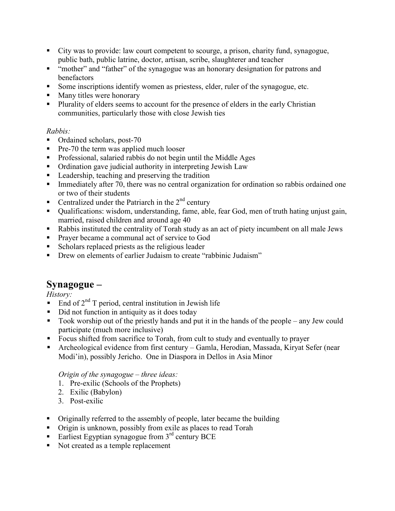- City was to provide: law court competent to scourge, a prison, charity fund, synagogue, public bath, public latrine, doctor, artisan, scribe, slaughterer and teacher
- " "mother" and "father" of the synagogue was an honorary designation for patrons and benefactors
- Some inscriptions identify women as priestess, elder, ruler of the synagogue, etc.
- Many titles were honorary
- Plurality of elders seems to account for the presence of elders in the early Christian communities, particularly those with close Jewish ties

#### Rabbis:

- Ordained scholars, post-70
- **Pre-70** the term was applied much looser
- Professional, salaried rabbis do not begin until the Middle Ages
- Ordination gave judicial authority in interpreting Jewish Law
- **Leadership, teaching and preserving the tradition**
- Immediately after 70, there was no central organization for ordination so rabbis ordained one or two of their students
- Centralized under the Patriarch in the  $2<sup>nd</sup>$  century
- Qualifications: wisdom, understanding, fame, able, fear God, men of truth hating unjust gain, married, raised children and around age 40
- Rabbis instituted the centrality of Torah study as an act of piety incumbent on all male Jews
- **Prayer became a communal act of service to God**
- Scholars replaced priests as the religious leader
- **•** Drew on elements of earlier Judaism to create "rabbinic Judaism"

# Synagogue –

History:

- $\blacksquare$  End of  $2<sup>nd</sup>$  T period, central institution in Jewish life
- Did not function in antiquity as it does today
- Took worship out of the priestly hands and put it in the hands of the people any Jew could participate (much more inclusive)
- Focus shifted from sacrifice to Torah, from cult to study and eventually to prayer
- Archeological evidence from first century Gamla, Herodian, Massada, Kiryat Sefer (near Modi'in), possibly Jericho. One in Diaspora in Dellos in Asia Minor

Origin of the synagogue – three ideas:

- 1. Pre-exilic (Schools of the Prophets)
- 2. Exilic (Babylon)
- 3. Post-exilic
- Originally referred to the assembly of people, later became the building
- Origin is unknown, possibly from exile as places to read Torah
- Earliest Egyptian synagogue from  $3<sup>rd</sup>$  century BCE
- Not created as a temple replacement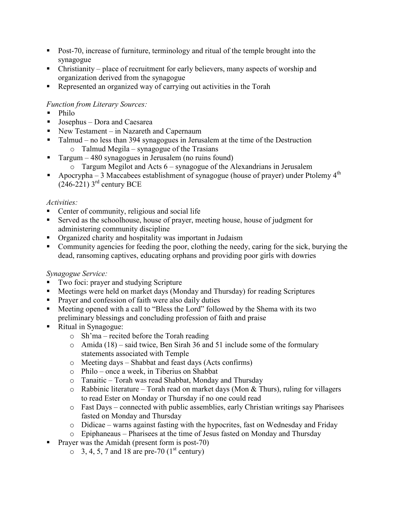- Post-70, increase of furniture, terminology and ritual of the temple brought into the synagogue
- Christianity place of recruitment for early believers, many aspects of worship and organization derived from the synagogue
- Represented an organized way of carrying out activities in the Torah

## Function from Literary Sources:

- Philo
- Josephus Dora and Caesarea
- New Testament in Nazareth and Capernaum
- Talmud no less than 394 synagogues in Jerusalem at the time of the Destruction o Talmud Megila – synagogue of the Trasians
- Targum 480 synagogues in Jerusalem (no ruins found)
	- o Targum Megilot and Acts 6 synagogue of the Alexandrians in Jerusalem
- Apocrypha 3 Maccabees establishment of synagogue (house of prayer) under Ptolemy  $4<sup>th</sup>$  $(246-221)$  3<sup>rd</sup> century BCE

## Activities:

- Center of community, religious and social life
- Served as the schoolhouse, house of prayer, meeting house, house of judgment for administering community discipline
- Organized charity and hospitality was important in Judaism
- Community agencies for feeding the poor, clothing the needy, caring for the sick, burying the dead, ransoming captives, educating orphans and providing poor girls with dowries

## Synagogue Service:

- Two foci: prayer and studying Scripture
- Meetings were held on market days (Monday and Thursday) for reading Scriptures
- Prayer and confession of faith were also daily duties
- Meeting opened with a call to "Bless the Lord" followed by the Shema with its two preliminary blessings and concluding profession of faith and praise
- Ritual in Synagogue:
	- o Sh'ma recited before the Torah reading
	- o Amida (18) said twice, Ben Sirah 36 and 51 include some of the formulary statements associated with Temple
	- o Meeting days Shabbat and feast days (Acts confirms)
	- o Philo once a week, in Tiberius on Shabbat
	- o Tanaitic Torah was read Shabbat, Monday and Thursday
	- $\circ$  Rabbinic literature Torah read on market days (Mon & Thurs), ruling for villagers to read Ester on Monday or Thursday if no one could read
	- o Fast Days connected with public assemblies, early Christian writings say Pharisees fasted on Monday and Thursday
	- o Didicae warns against fasting with the hypocrites, fast on Wednesday and Friday
	- o Epiphaneaus Pharisees at the time of Jesus fasted on Monday and Thursday
- **Prayer was the Amidah (present form is post-70)** 
	- $\circ$  3, 4, 5, 7 and 18 are pre-70 (1<sup>st</sup> century)